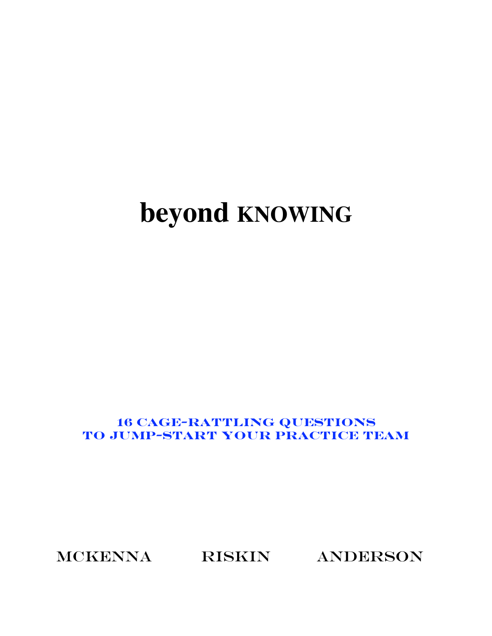# **beyond KNOWING**

# **16 cage-rattling QUESTIONS to jump-start YOUR PRACTICE TEAM**

MCKENNA RISKIN ANDERSON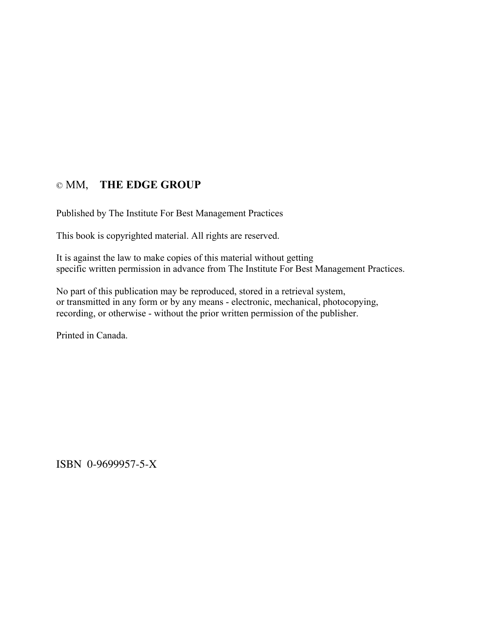## © MM, **THE EDGE GROUP**

Published by The Institute For Best Management Practices

This book is copyrighted material. All rights are reserved.

It is against the law to make copies of this material without getting specific written permission in advance from The Institute For Best Management Practices.

No part of this publication may be reproduced, stored in a retrieval system, or transmitted in any form or by any means - electronic, mechanical, photocopying, recording, or otherwise - without the prior written permission of the publisher.

Printed in Canada.

ISBN 0-9699957-5-X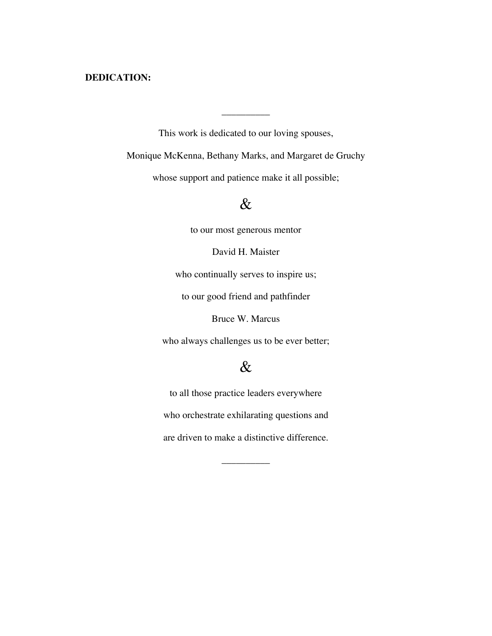### **DEDICATION:**

This work is dedicated to our loving spouses,

\_\_\_\_\_\_\_\_\_\_

Monique McKenna, Bethany Marks, and Margaret de Gruchy

whose support and patience make it all possible;

# &

to our most generous mentor

David H. Maister

who continually serves to inspire us;

to our good friend and pathfinder

Bruce W. Marcus

who always challenges us to be ever better;

# &

to all those practice leaders everywhere who orchestrate exhilarating questions and are driven to make a distinctive difference.

 $\overline{\phantom{a}}$  , where  $\overline{\phantom{a}}$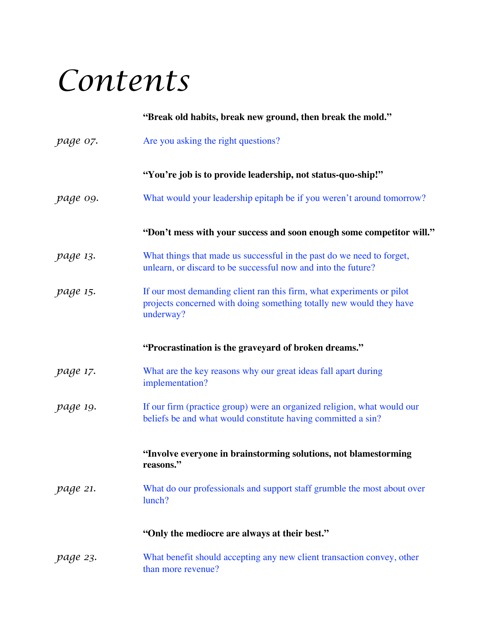# *Contents*

|                 | "Break old habits, break new ground, then break the mold."                                                                                                |
|-----------------|-----------------------------------------------------------------------------------------------------------------------------------------------------------|
| page 07.        | Are you asking the right questions?                                                                                                                       |
|                 | "You're job is to provide leadership, not status-quo-ship!"                                                                                               |
| page o9.        | What would your leadership epitaph be if you weren't around tomorrow?                                                                                     |
|                 | "Don't mess with your success and soon enough some competitor will."                                                                                      |
| <i>page 13.</i> | What things that made us successful in the past do we need to forget,<br>unlearn, or discard to be successful now and into the future?                    |
| <i>page 15.</i> | If our most demanding client ran this firm, what experiments or pilot<br>projects concerned with doing something totally new would they have<br>underway? |
|                 | "Procrastination is the graveyard of broken dreams."                                                                                                      |
| <i>page 17.</i> | What are the key reasons why our great ideas fall apart during<br>implementation?                                                                         |
| page 19.        | If our firm (practice group) were an organized religion, what would our<br>beliefs be and what would constitute having committed a sin?                   |
|                 | "Involve everyone in brainstorming solutions, not blamestorming<br>reasons."                                                                              |
| page 21.        | What do our professionals and support staff grumble the most about over<br>lunch?                                                                         |
|                 | "Only the mediocre are always at their best."                                                                                                             |
| page 23.        | What benefit should accepting any new client transaction convey, other<br>than more revenue?                                                              |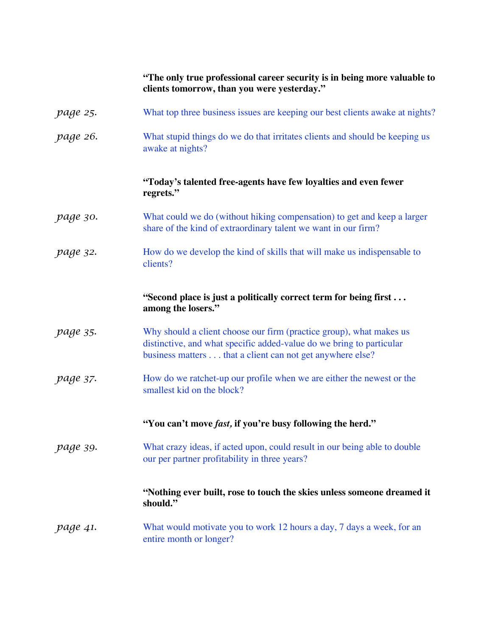|                 | "The only true professional career security is in being more valuable to<br>clients tomorrow, than you were yesterday."                                                                                  |
|-----------------|----------------------------------------------------------------------------------------------------------------------------------------------------------------------------------------------------------|
| page 25.        | What top three business issues are keeping our best clients awake at nights?                                                                                                                             |
| page 26.        | What stupid things do we do that irritates clients and should be keeping us<br>awake at nights?                                                                                                          |
|                 | "Today's talented free-agents have few loyalties and even fewer<br>regrets."                                                                                                                             |
| page 30.        | What could we do (without hiking compensation) to get and keep a larger<br>share of the kind of extraordinary talent we want in our firm?                                                                |
| page 32.        | How do we develop the kind of skills that will make us indispensable to<br>clients?                                                                                                                      |
|                 | "Second place is just a politically correct term for being first<br>among the losers."                                                                                                                   |
| page 35.        | Why should a client choose our firm (practice group), what makes us<br>distinctive, and what specific added-value do we bring to particular<br>business matters that a client can not get anywhere else? |
| <i>page 37.</i> | How do we ratchet-up our profile when we are either the newest or the<br>smallest kid on the block?                                                                                                      |
|                 | "You can't move fast, if you're busy following the herd."                                                                                                                                                |
| page 39.        | What crazy ideas, if acted upon, could result in our being able to double<br>our per partner profitability in three years?                                                                               |
|                 | "Nothing ever built, rose to touch the skies unless someone dreamed it<br>should."                                                                                                                       |
| page 41.        | What would motivate you to work 12 hours a day, 7 days a week, for an<br>entire month or longer?                                                                                                         |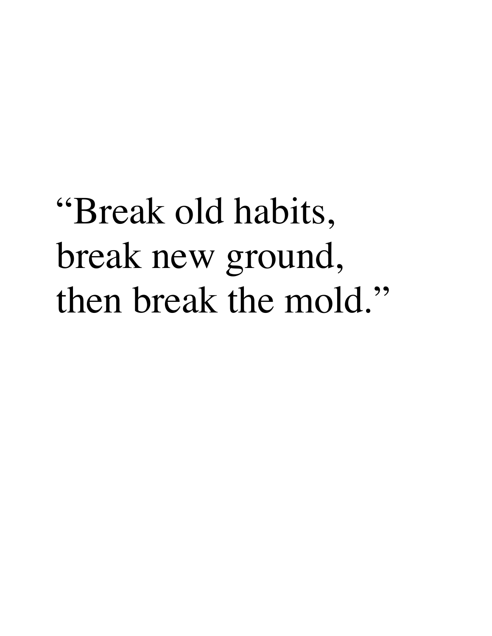# "Break old habits, break new ground, then break the mold."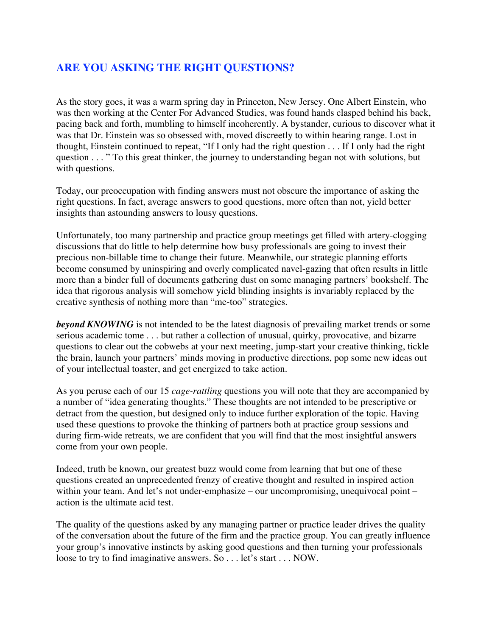# **ARE YOU ASKING THE RIGHT QUESTIONS?**

As the story goes, it was a warm spring day in Princeton, New Jersey. One Albert Einstein, who was then working at the Center For Advanced Studies, was found hands clasped behind his back, pacing back and forth, mumbling to himself incoherently. A bystander, curious to discover what it was that Dr. Einstein was so obsessed with, moved discreetly to within hearing range. Lost in thought, Einstein continued to repeat, "If I only had the right question . . . If I only had the right question . . . " To this great thinker, the journey to understanding began not with solutions, but with questions.

Today, our preoccupation with finding answers must not obscure the importance of asking the right questions. In fact, average answers to good questions, more often than not, yield better insights than astounding answers to lousy questions.

Unfortunately, too many partnership and practice group meetings get filled with artery-clogging discussions that do little to help determine how busy professionals are going to invest their precious non-billable time to change their future. Meanwhile, our strategic planning efforts become consumed by uninspiring and overly complicated navel-gazing that often results in little more than a binder full of documents gathering dust on some managing partners' bookshelf. The idea that rigorous analysis will somehow yield blinding insights is invariably replaced by the creative synthesis of nothing more than "me-too" strategies.

*beyond KNOWING* is not intended to be the latest diagnosis of prevailing market trends or some serious academic tome . . . but rather a collection of unusual, quirky, provocative, and bizarre questions to clear out the cobwebs at your next meeting, jump-start your creative thinking, tickle the brain, launch your partners' minds moving in productive directions, pop some new ideas out of your intellectual toaster, and get energized to take action.

As you peruse each of our 15 *cage-rattling* questions you will note that they are accompanied by a number of "idea generating thoughts." These thoughts are not intended to be prescriptive or detract from the question, but designed only to induce further exploration of the topic. Having used these questions to provoke the thinking of partners both at practice group sessions and during firm-wide retreats, we are confident that you will find that the most insightful answers come from your own people.

Indeed, truth be known, our greatest buzz would come from learning that but one of these questions created an unprecedented frenzy of creative thought and resulted in inspired action within your team. And let's not under-emphasize – our uncompromising, unequivocal point – action is the ultimate acid test.

The quality of the questions asked by any managing partner or practice leader drives the quality of the conversation about the future of the firm and the practice group. You can greatly influence your group's innovative instincts by asking good questions and then turning your professionals loose to try to find imaginative answers. So . . . let's start . . . NOW.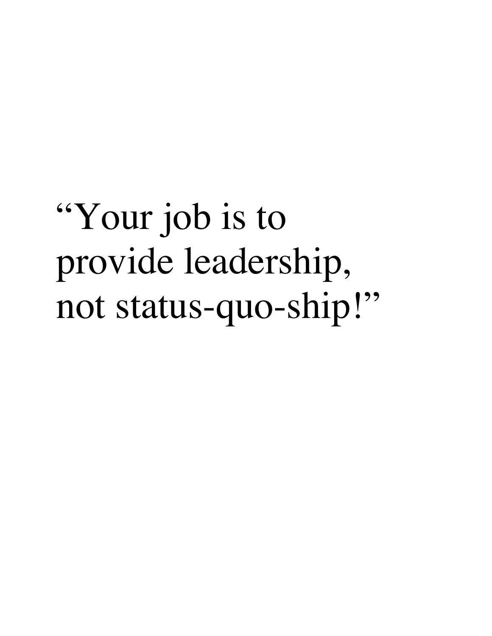# "Your job is to provide leadership, not status-quo-ship!"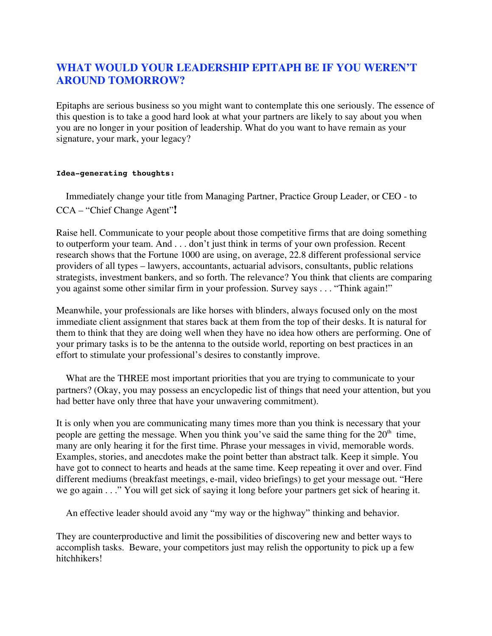# **WHAT WOULD YOUR LEADERSHIP EPITAPH BE IF YOU WEREN'T AROUND TOMORROW?**

Epitaphs are serious business so you might want to contemplate this one seriously. The essence of this question is to take a good hard look at what your partners are likely to say about you when you are no longer in your position of leadership. What do you want to have remain as your signature, your mark, your legacy?

#### **Idea-generating thoughts:**

 Immediately change your title from Managing Partner, Practice Group Leader, or CEO - to CCA – "Chief Change Agent"**!**

Raise hell. Communicate to your people about those competitive firms that are doing something to outperform your team. And . . . don't just think in terms of your own profession. Recent research shows that the Fortune 1000 are using, on average, 22.8 different professional service providers of all types – lawyers, accountants, actuarial advisors, consultants, public relations strategists, investment bankers, and so forth. The relevance? You think that clients are comparing you against some other similar firm in your profession. Survey says . . . "Think again!"

Meanwhile, your professionals are like horses with blinders, always focused only on the most immediate client assignment that stares back at them from the top of their desks. It is natural for them to think that they are doing well when they have no idea how others are performing. One of your primary tasks is to be the antenna to the outside world, reporting on best practices in an effort to stimulate your professional's desires to constantly improve.

 What are the THREE most important priorities that you are trying to communicate to your partners? (Okay, you may possess an encyclopedic list of things that need your attention, but you had better have only three that have your unwavering commitment).

It is only when you are communicating many times more than you think is necessary that your people are getting the message. When you think you've said the same thing for the  $20<sup>th</sup>$  time, many are only hearing it for the first time. Phrase your messages in vivid, memorable words. Examples, stories, and anecdotes make the point better than abstract talk. Keep it simple. You have got to connect to hearts and heads at the same time. Keep repeating it over and over. Find different mediums (breakfast meetings, e-mail, video briefings) to get your message out. "Here we go again . . ." You will get sick of saying it long before your partners get sick of hearing it.

An effective leader should avoid any "my way or the highway" thinking and behavior.

They are counterproductive and limit the possibilities of discovering new and better ways to accomplish tasks. Beware, your competitors just may relish the opportunity to pick up a few hitchhikers!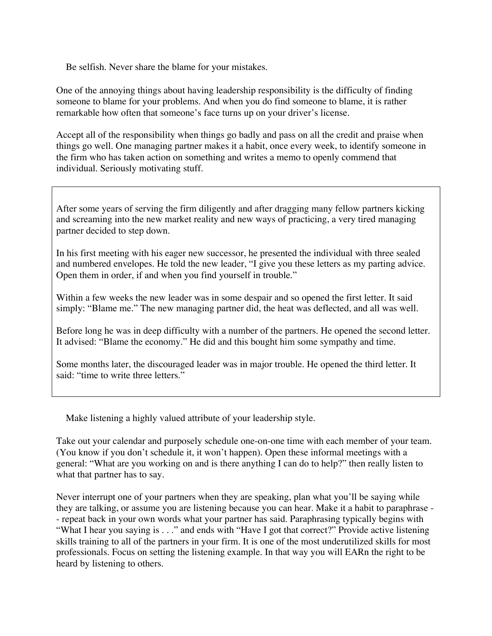Be selfish. Never share the blame for your mistakes.

One of the annoying things about having leadership responsibility is the difficulty of finding someone to blame for your problems. And when you do find someone to blame, it is rather remarkable how often that someone's face turns up on your driver's license.

Accept all of the responsibility when things go badly and pass on all the credit and praise when things go well. One managing partner makes it a habit, once every week, to identify someone in the firm who has taken action on something and writes a memo to openly commend that individual. Seriously motivating stuff.

After some years of serving the firm diligently and after dragging many fellow partners kicking and screaming into the new market reality and new ways of practicing, a very tired managing partner decided to step down.

In his first meeting with his eager new successor, he presented the individual with three sealed and numbered envelopes. He told the new leader, "I give you these letters as my parting advice. Open them in order, if and when you find yourself in trouble."

Within a few weeks the new leader was in some despair and so opened the first letter. It said simply: "Blame me." The new managing partner did, the heat was deflected, and all was well.

Before long he was in deep difficulty with a number of the partners. He opened the second letter. It advised: "Blame the economy." He did and this bought him some sympathy and time.

Some months later, the discouraged leader was in major trouble. He opened the third letter. It said: "time to write three letters."

Make listening a highly valued attribute of your leadership style.

Take out your calendar and purposely schedule one-on-one time with each member of your team. (You know if you don't schedule it, it won't happen). Open these informal meetings with a general: "What are you working on and is there anything I can do to help?" then really listen to what that partner has to say.

Never interrupt one of your partners when they are speaking, plan what you'll be saying while they are talking, or assume you are listening because you can hear. Make it a habit to paraphrase - - repeat back in your own words what your partner has said. Paraphrasing typically begins with "What I hear you saying is . . ." and ends with "Have I got that correct?" Provide active listening skills training to all of the partners in your firm. It is one of the most underutilized skills for most professionals. Focus on setting the listening example. In that way you will EARn the right to be heard by listening to others.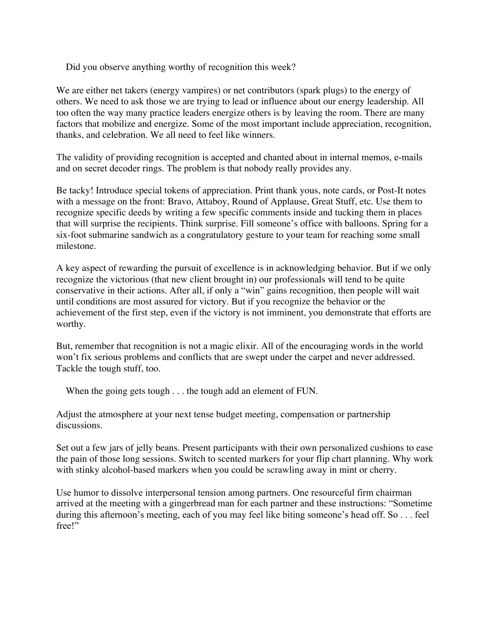Did you observe anything worthy of recognition this week?

We are either net takers (energy vampires) or net contributors (spark plugs) to the energy of others. We need to ask those we are trying to lead or influence about our energy leadership. All too often the way many practice leaders energize others is by leaving the room. There are many factors that mobilize and energize. Some of the most important include appreciation, recognition, thanks, and celebration. We all need to feel like winners.

The validity of providing recognition is accepted and chanted about in internal memos, e-mails and on secret decoder rings. The problem is that nobody really provides any.

Be tacky! Introduce special tokens of appreciation. Print thank yous, note cards, or Post-It notes with a message on the front: Bravo, Attaboy, Round of Applause, Great Stuff, etc. Use them to recognize specific deeds by writing a few specific comments inside and tucking them in places that will surprise the recipients. Think surprise. Fill someone's office with balloons. Spring for a six-foot submarine sandwich as a congratulatory gesture to your team for reaching some small milestone.

A key aspect of rewarding the pursuit of excellence is in acknowledging behavior. But if we only recognize the victorious (that new client brought in) our professionals will tend to be quite conservative in their actions. After all, if only a "win" gains recognition, then people will wait until conditions are most assured for victory. But if you recognize the behavior or the achievement of the first step, even if the victory is not imminent, you demonstrate that efforts are worthy.

But, remember that recognition is not a magic elixir. All of the encouraging words in the world won't fix serious problems and conflicts that are swept under the carpet and never addressed. Tackle the tough stuff, too.

When the going gets tough . . . the tough add an element of FUN.

Adjust the atmosphere at your next tense budget meeting, compensation or partnership discussions.

Set out a few jars of jelly beans. Present participants with their own personalized cushions to ease the pain of those long sessions. Switch to scented markers for your flip chart planning. Why work with stinky alcohol-based markers when you could be scrawling away in mint or cherry.

Use humor to dissolve interpersonal tension among partners. One resourceful firm chairman arrived at the meeting with a gingerbread man for each partner and these instructions: "Sometime during this afternoon's meeting, each of you may feel like biting someone's head off. So . . . feel free!"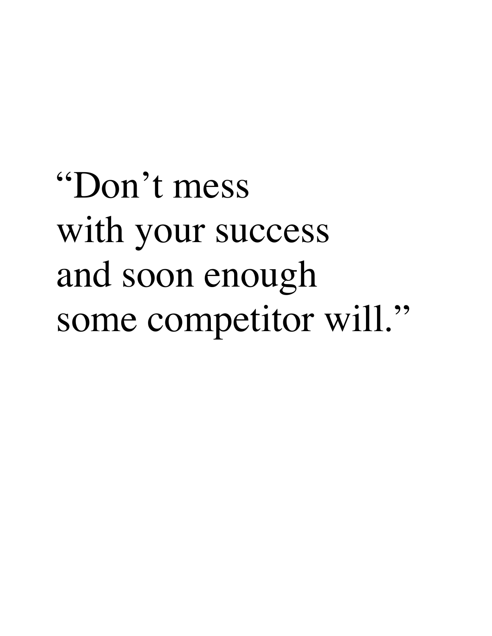# "Don't mess with your success and soon enough some competitor will."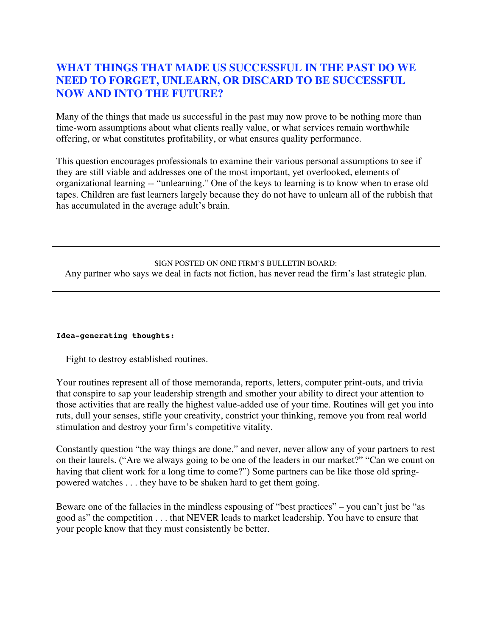### **WHAT THINGS THAT MADE US SUCCESSFUL IN THE PAST DO WE NEED TO FORGET, UNLEARN, OR DISCARD TO BE SUCCESSFUL NOW AND INTO THE FUTURE?**

Many of the things that made us successful in the past may now prove to be nothing more than time-worn assumptions about what clients really value, or what services remain worthwhile offering, or what constitutes profitability, or what ensures quality performance.

This question encourages professionals to examine their various personal assumptions to see if they are still viable and addresses one of the most important, yet overlooked, elements of organizational learning -- "unlearning." One of the keys to learning is to know when to erase old tapes. Children are fast learners largely because they do not have to unlearn all of the rubbish that has accumulated in the average adult's brain.

### SIGN POSTED ON ONE FIRM'S BULLETIN BOARD: Any partner who says we deal in facts not fiction, has never read the firm's last strategic plan.

### **Idea-generating thoughts:**

Fight to destroy established routines.

Your routines represent all of those memoranda, reports, letters, computer print-outs, and trivia that conspire to sap your leadership strength and smother your ability to direct your attention to those activities that are really the highest value-added use of your time. Routines will get you into ruts, dull your senses, stifle your creativity, constrict your thinking, remove you from real world stimulation and destroy your firm's competitive vitality.

Constantly question "the way things are done," and never, never allow any of your partners to rest on their laurels. ("Are we always going to be one of the leaders in our market?" "Can we count on having that client work for a long time to come?") Some partners can be like those old springpowered watches . . . they have to be shaken hard to get them going.

Beware one of the fallacies in the mindless espousing of "best practices" – you can't just be "as good as" the competition . . . that NEVER leads to market leadership. You have to ensure that your people know that they must consistently be better.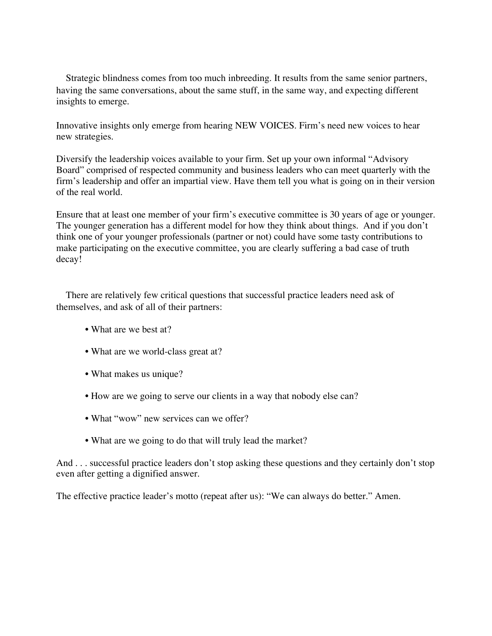Strategic blindness comes from too much inbreeding. It results from the same senior partners, having the same conversations, about the same stuff, in the same way, and expecting different insights to emerge.

Innovative insights only emerge from hearing NEW VOICES. Firm's need new voices to hear new strategies.

Diversify the leadership voices available to your firm. Set up your own informal "Advisory Board" comprised of respected community and business leaders who can meet quarterly with the firm's leadership and offer an impartial view. Have them tell you what is going on in their version of the real world.

Ensure that at least one member of your firm's executive committee is 30 years of age or younger. The younger generation has a different model for how they think about things. And if you don't think one of your younger professionals (partner or not) could have some tasty contributions to make participating on the executive committee, you are clearly suffering a bad case of truth decay!

 There are relatively few critical questions that successful practice leaders need ask of themselves, and ask of all of their partners:

- What are we best at?
- What are we world-class great at?
- What makes us unique?
- How are we going to serve our clients in a way that nobody else can?
- What "wow" new services can we offer?
- What are we going to do that will truly lead the market?

And . . . successful practice leaders don't stop asking these questions and they certainly don't stop even after getting a dignified answer.

The effective practice leader's motto (repeat after us): "We can always do better." Amen.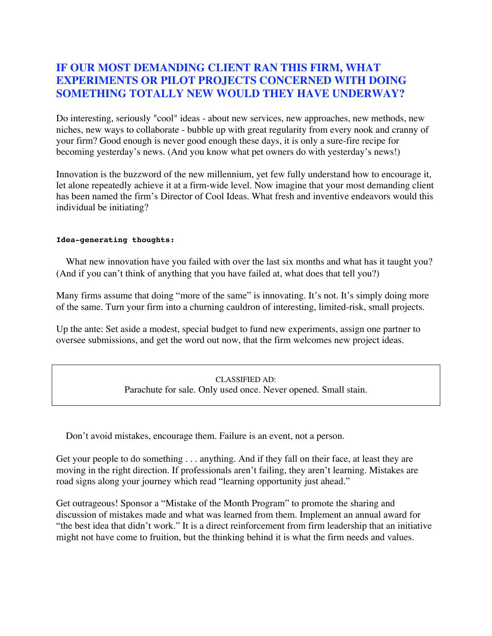### **IF OUR MOST DEMANDING CLIENT RAN THIS FIRM, WHAT EXPERIMENTS OR PILOT PROJECTS CONCERNED WITH DOING SOMETHING TOTALLY NEW WOULD THEY HAVE UNDERWAY?**

Do interesting, seriously "cool" ideas - about new services, new approaches, new methods, new niches, new ways to collaborate - bubble up with great regularity from every nook and cranny of your firm? Good enough is never good enough these days, it is only a sure-fire recipe for becoming yesterday's news. (And you know what pet owners do with yesterday's news!)

Innovation is the buzzword of the new millennium, yet few fully understand how to encourage it, let alone repeatedly achieve it at a firm-wide level. Now imagine that your most demanding client has been named the firm's Director of Cool Ideas. What fresh and inventive endeavors would this individual be initiating?

### **Idea-generating thoughts:**

What new innovation have you failed with over the last six months and what has it taught you? (And if you can't think of anything that you have failed at, what does that tell you?)

Many firms assume that doing "more of the same" is innovating. It's not. It's simply doing more of the same. Turn your firm into a churning cauldron of interesting, limited-risk, small projects.

Up the ante: Set aside a modest, special budget to fund new experiments, assign one partner to oversee submissions, and get the word out now, that the firm welcomes new project ideas.

> CLASSIFIED AD: Parachute for sale. Only used once. Never opened. Small stain.

Don't avoid mistakes, encourage them. Failure is an event, not a person.

Get your people to do something . . . anything. And if they fall on their face, at least they are moving in the right direction. If professionals aren't failing, they aren't learning. Mistakes are road signs along your journey which read "learning opportunity just ahead."

Get outrageous! Sponsor a "Mistake of the Month Program" to promote the sharing and discussion of mistakes made and what was learned from them. Implement an annual award for "the best idea that didn't work." It is a direct reinforcement from firm leadership that an initiative might not have come to fruition, but the thinking behind it is what the firm needs and values.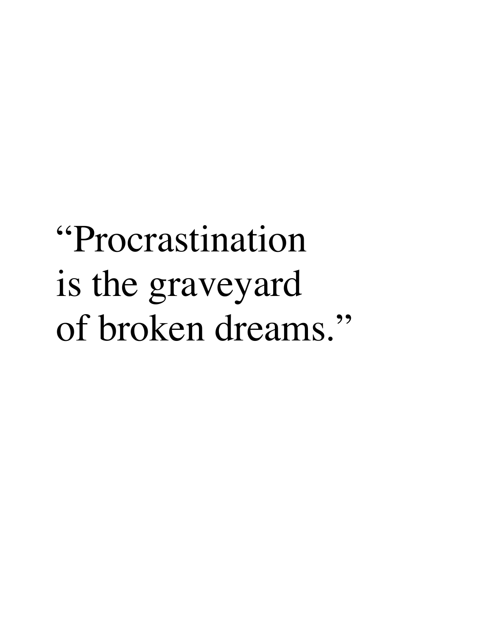# "Procrastination is the graveyard of broken dreams."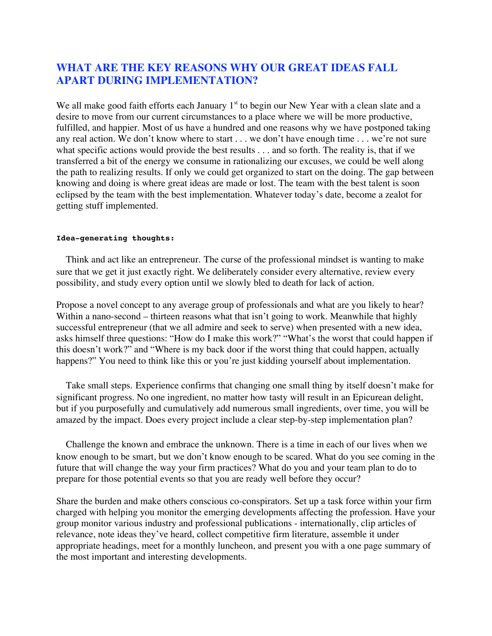## **WHAT ARE THE KEY REASONS WHY OUR GREAT IDEAS FALL APART DURING IMPLEMENTATION?**

We all make good faith efforts each January  $1<sup>st</sup>$  to begin our New Year with a clean slate and a desire to move from our current circumstances to a place where we will be more productive, fulfilled, and happier. Most of us have a hundred and one reasons why we have postponed taking any real action. We don't know where to start . . . we don't have enough time . . . we're not sure what specific actions would provide the best results . . . and so forth. The reality is, that if we transferred a bit of the energy we consume in rationalizing our excuses, we could be well along the path to realizing results. If only we could get organized to start on the doing. The gap between knowing and doing is where great ideas are made or lost. The team with the best talent is soon eclipsed by the team with the best implementation. Whatever today's date, become a zealot for getting stuff implemented.

#### **Idea-generating thoughts:**

 Think and act like an entrepreneur. The curse of the professional mindset is wanting to make sure that we get it just exactly right. We deliberately consider every alternative, review every possibility, and study every option until we slowly bled to death for lack of action.

Propose a novel concept to any average group of professionals and what are you likely to hear? Within a nano-second – thirteen reasons what that isn't going to work. Meanwhile that highly successful entrepreneur (that we all admire and seek to serve) when presented with a new idea, asks himself three questions: "How do I make this work?" "What's the worst that could happen if this doesn't work?" and "Where is my back door if the worst thing that could happen, actually happens?" You need to think like this or you're just kidding yourself about implementation.

 Take small steps. Experience confirms that changing one small thing by itself doesn't make for significant progress. No one ingredient, no matter how tasty will result in an Epicurean delight, but if you purposefully and cumulatively add numerous small ingredients, over time, you will be amazed by the impact. Does every project include a clear step-by-step implementation plan?

 Challenge the known and embrace the unknown. There is a time in each of our lives when we know enough to be smart, but we don't know enough to be scared. What do you see coming in the future that will change the way your firm practices? What do you and your team plan to do to prepare for those potential events so that you are ready well before they occur?

Share the burden and make others conscious co-conspirators. Set up a task force within your firm charged with helping you monitor the emerging developments affecting the profession. Have your group monitor various industry and professional publications - internationally, clip articles of relevance, note ideas they've heard, collect competitive firm literature, assemble it under appropriate headings, meet for a monthly luncheon, and present you with a one page summary of the most important and interesting developments.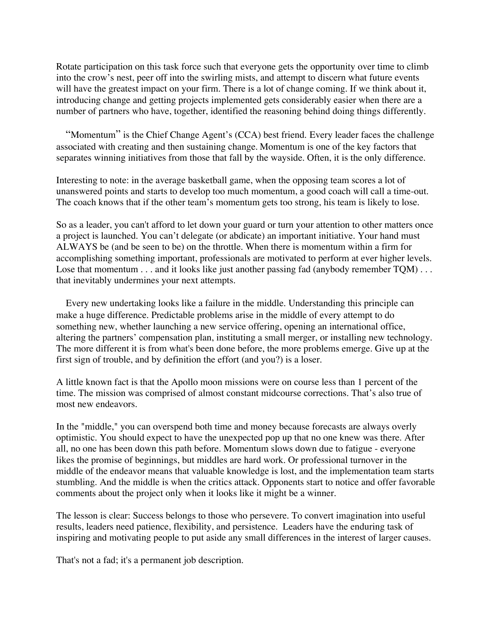Rotate participation on this task force such that everyone gets the opportunity over time to climb into the crow's nest, peer off into the swirling mists, and attempt to discern what future events will have the greatest impact on your firm. There is a lot of change coming. If we think about it, introducing change and getting projects implemented gets considerably easier when there are a number of partners who have, together, identified the reasoning behind doing things differently.

"Momentum" is the Chief Change Agent's (CCA) best friend. Every leader faces the challenge associated with creating and then sustaining change. Momentum is one of the key factors that separates winning initiatives from those that fall by the wayside. Often, it is the only difference.

Interesting to note: in the average basketball game, when the opposing team scores a lot of unanswered points and starts to develop too much momentum, a good coach will call a time-out. The coach knows that if the other team's momentum gets too strong, his team is likely to lose.

So as a leader, you can't afford to let down your guard or turn your attention to other matters once a project is launched. You can't delegate (or abdicate) an important initiative. Your hand must ALWAYS be (and be seen to be) on the throttle. When there is momentum within a firm for accomplishing something important, professionals are motivated to perform at ever higher levels. Lose that momentum . . . and it looks like just another passing fad (anybody remember TQM) . . . that inevitably undermines your next attempts.

 Every new undertaking looks like a failure in the middle. Understanding this principle can make a huge difference. Predictable problems arise in the middle of every attempt to do something new, whether launching a new service offering, opening an international office, altering the partners' compensation plan, instituting a small merger, or installing new technology. The more different it is from what's been done before, the more problems emerge. Give up at the first sign of trouble, and by definition the effort (and you?) is a loser.

A little known fact is that the Apollo moon missions were on course less than 1 percent of the time. The mission was comprised of almost constant midcourse corrections. That's also true of most new endeavors.

In the "middle," you can overspend both time and money because forecasts are always overly optimistic. You should expect to have the unexpected pop up that no one knew was there. After all, no one has been down this path before. Momentum slows down due to fatigue - everyone likes the promise of beginnings, but middles are hard work. Or professional turnover in the middle of the endeavor means that valuable knowledge is lost, and the implementation team starts stumbling. And the middle is when the critics attack. Opponents start to notice and offer favorable comments about the project only when it looks like it might be a winner.

The lesson is clear: Success belongs to those who persevere. To convert imagination into useful results, leaders need patience, flexibility, and persistence. Leaders have the enduring task of inspiring and motivating people to put aside any small differences in the interest of larger causes.

That's not a fad; it's a permanent job description.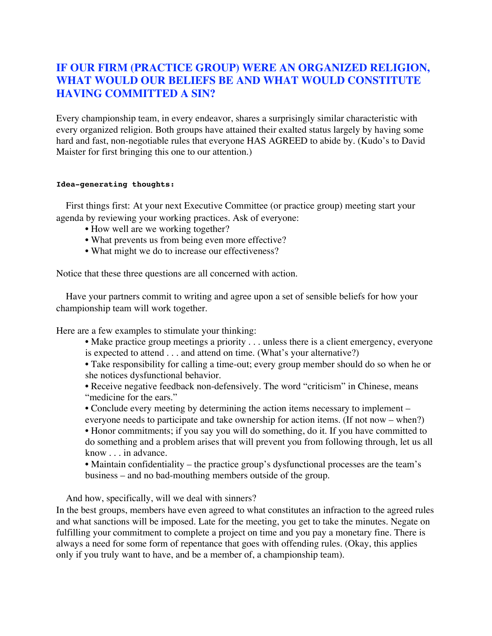### **IF OUR FIRM (PRACTICE GROUP) WERE AN ORGANIZED RELIGION, WHAT WOULD OUR BELIEFS BE AND WHAT WOULD CONSTITUTE HAVING COMMITTED A SIN?**

Every championship team, in every endeavor, shares a surprisingly similar characteristic with every organized religion. Both groups have attained their exalted status largely by having some hard and fast, non-negotiable rules that everyone HAS AGREED to abide by. (Kudo's to David Maister for first bringing this one to our attention.)

### **Idea-generating thoughts:**

 First things first: At your next Executive Committee (or practice group) meeting start your agenda by reviewing your working practices. Ask of everyone:

- How well are we working together?
- What prevents us from being even more effective?
- What might we do to increase our effectiveness?

Notice that these three questions are all concerned with action.

 Have your partners commit to writing and agree upon a set of sensible beliefs for how your championship team will work together.

Here are a few examples to stimulate your thinking:

• Make practice group meetings a priority . . . unless there is a client emergency, everyone is expected to attend . . . and attend on time. (What's your alternative?)

• Take responsibility for calling a time-out; every group member should do so when he or she notices dysfunctional behavior.

• Receive negative feedback non-defensively. The word "criticism" in Chinese, means "medicine for the ears."

• Conclude every meeting by determining the action items necessary to implement – everyone needs to participate and take ownership for action items. (If not now – when?)

• Honor commitments; if you say you will do something, do it. If you have committed to do something and a problem arises that will prevent you from following through, let us all know . . . in advance.

• Maintain confidentiality – the practice group's dysfunctional processes are the team's business – and no bad-mouthing members outside of the group.

And how, specifically, will we deal with sinners?

In the best groups, members have even agreed to what constitutes an infraction to the agreed rules and what sanctions will be imposed. Late for the meeting, you get to take the minutes. Negate on fulfilling your commitment to complete a project on time and you pay a monetary fine. There is always a need for some form of repentance that goes with offending rules. (Okay, this applies only if you truly want to have, and be a member of, a championship team).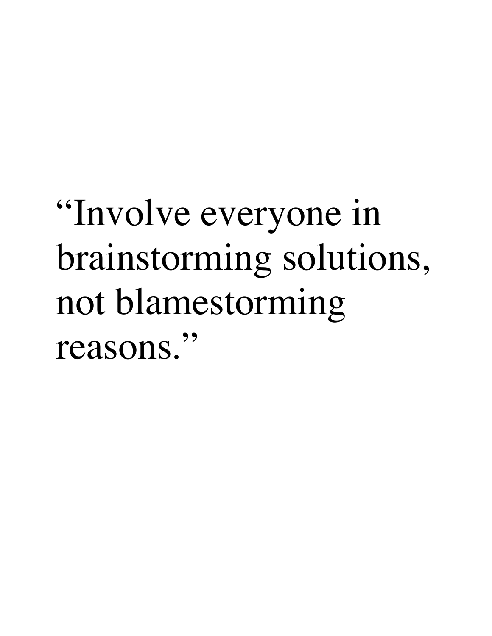# "Involve everyone in brainstorming solutions, not blamestorming reasons."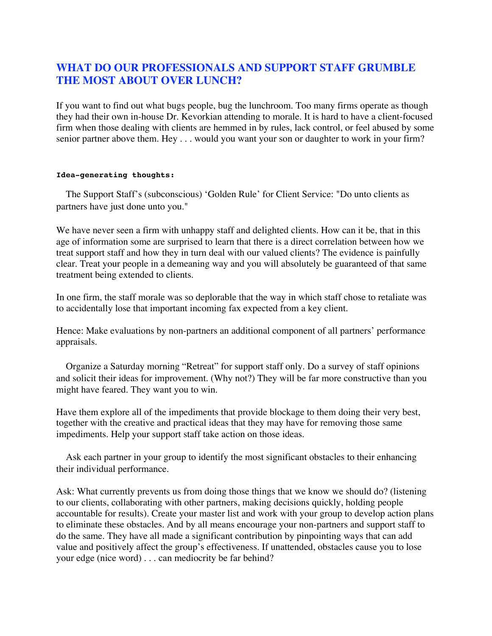# **WHAT DO OUR PROFESSIONALS AND SUPPORT STAFF GRUMBLE THE MOST ABOUT OVER LUNCH?**

If you want to find out what bugs people, bug the lunchroom. Too many firms operate as though they had their own in-house Dr. Kevorkian attending to morale. It is hard to have a client-focused firm when those dealing with clients are hemmed in by rules, lack control, or feel abused by some senior partner above them. Hey . . . would you want your son or daughter to work in your firm?

### **Idea-generating thoughts:**

 The Support Staff's (subconscious) 'Golden Rule' for Client Service: "Do unto clients as partners have just done unto you."

We have never seen a firm with unhappy staff and delighted clients. How can it be, that in this age of information some are surprised to learn that there is a direct correlation between how we treat support staff and how they in turn deal with our valued clients? The evidence is painfully clear. Treat your people in a demeaning way and you will absolutely be guaranteed of that same treatment being extended to clients.

In one firm, the staff morale was so deplorable that the way in which staff chose to retaliate was to accidentally lose that important incoming fax expected from a key client.

Hence: Make evaluations by non-partners an additional component of all partners' performance appraisals.

 Organize a Saturday morning "Retreat" for support staff only. Do a survey of staff opinions and solicit their ideas for improvement. (Why not?) They will be far more constructive than you might have feared. They want you to win.

Have them explore all of the impediments that provide blockage to them doing their very best, together with the creative and practical ideas that they may have for removing those same impediments. Help your support staff take action on those ideas.

 Ask each partner in your group to identify the most significant obstacles to their enhancing their individual performance.

Ask: What currently prevents us from doing those things that we know we should do? (listening to our clients, collaborating with other partners, making decisions quickly, holding people accountable for results). Create your master list and work with your group to develop action plans to eliminate these obstacles. And by all means encourage your non-partners and support staff to do the same. They have all made a significant contribution by pinpointing ways that can add value and positively affect the group's effectiveness. If unattended, obstacles cause you to lose your edge (nice word) . . . can mediocrity be far behind?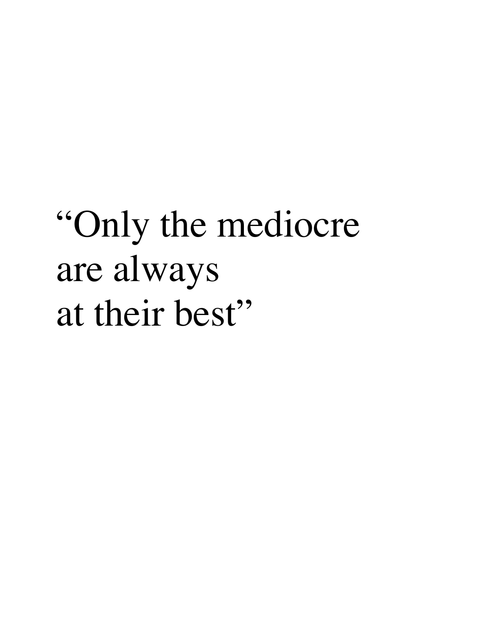# "Only the mediocre are always at their best"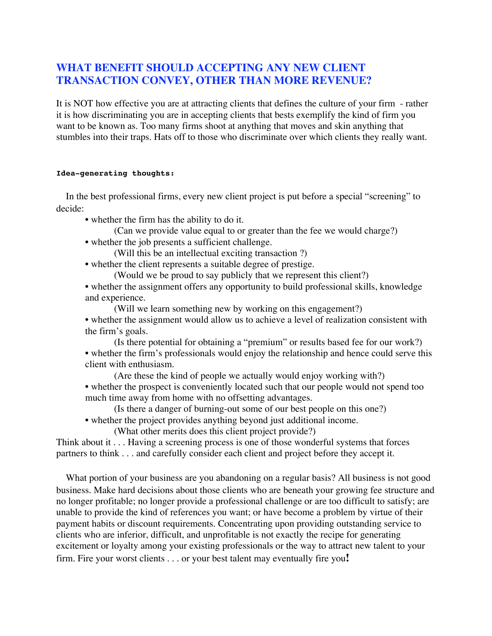### **WHAT BENEFIT SHOULD ACCEPTING ANY NEW CLIENT TRANSACTION CONVEY, OTHER THAN MORE REVENUE?**

It is NOT how effective you are at attracting clients that defines the culture of your firm - rather it is how discriminating you are in accepting clients that bests exemplify the kind of firm you want to be known as. Too many firms shoot at anything that moves and skin anything that stumbles into their traps. Hats off to those who discriminate over which clients they really want.

#### **Idea-generating thoughts:**

 In the best professional firms, every new client project is put before a special "screening" to decide:

• whether the firm has the ability to do it.

(Can we provide value equal to or greater than the fee we would charge?)

• whether the job presents a sufficient challenge.

(Will this be an intellectual exciting transaction ?)

• whether the client represents a suitable degree of prestige.

(Would we be proud to say publicly that we represent this client?)

• whether the assignment offers any opportunity to build professional skills, knowledge and experience.

(Will we learn something new by working on this engagement?)

- whether the assignment would allow us to achieve a level of realization consistent with the firm's goals.
- (Is there potential for obtaining a "premium" or results based fee for our work?) • whether the firm's professionals would enjoy the relationship and hence could serve this client with enthusiasm.
	- (Are these the kind of people we actually would enjoy working with?)
- whether the prospect is conveniently located such that our people would not spend too much time away from home with no offsetting advantages.
	- (Is there a danger of burning-out some of our best people on this one?)
- whether the project provides anything beyond just additional income.

(What other merits does this client project provide?)

Think about it . . . Having a screening process is one of those wonderful systems that forces partners to think . . . and carefully consider each client and project before they accept it.

 What portion of your business are you abandoning on a regular basis? All business is not good business. Make hard decisions about those clients who are beneath your growing fee structure and no longer profitable; no longer provide a professional challenge or are too difficult to satisfy; are unable to provide the kind of references you want; or have become a problem by virtue of their payment habits or discount requirements. Concentrating upon providing outstanding service to clients who are inferior, difficult, and unprofitable is not exactly the recipe for generating excitement or loyalty among your existing professionals or the way to attract new talent to your firm. Fire your worst clients . . . or your best talent may eventually fire you**!**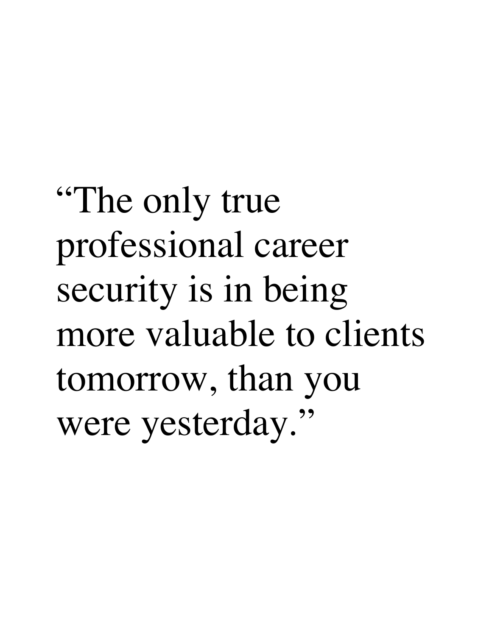"The only true professional career security is in being more valuable to clients tomorrow, than you were yesterday."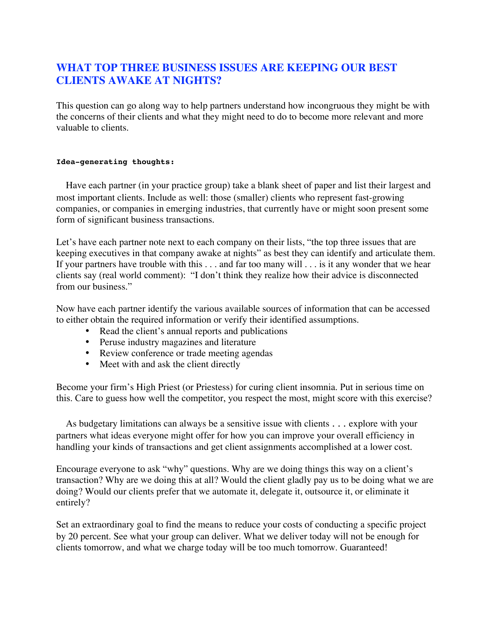# **WHAT TOP THREE BUSINESS ISSUES ARE KEEPING OUR BEST CLIENTS AWAKE AT NIGHTS?**

This question can go along way to help partners understand how incongruous they might be with the concerns of their clients and what they might need to do to become more relevant and more valuable to clients.

### **Idea-generating thoughts:**

 Have each partner (in your practice group) take a blank sheet of paper and list their largest and most important clients. Include as well: those (smaller) clients who represent fast-growing companies, or companies in emerging industries, that currently have or might soon present some form of significant business transactions.

Let's have each partner note next to each company on their lists, "the top three issues that are keeping executives in that company awake at nights" as best they can identify and articulate them. If your partners have trouble with this . . . and far too many will . . . is it any wonder that we hear clients say (real world comment): "I don't think they realize how their advice is disconnected from our business."

Now have each partner identify the various available sources of information that can be accessed to either obtain the required information or verify their identified assumptions.

- Read the client's annual reports and publications
- Peruse industry magazines and literature
- Review conference or trade meeting agendas
- Meet with and ask the client directly

Become your firm's High Priest (or Priestess) for curing client insomnia. Put in serious time on this. Care to guess how well the competitor, you respect the most, might score with this exercise?

 As budgetary limitations can always be a sensitive issue with clients . . . explore with your partners what ideas everyone might offer for how you can improve your overall efficiency in handling your kinds of transactions and get client assignments accomplished at a lower cost.

Encourage everyone to ask "why" questions. Why are we doing things this way on a client's transaction? Why are we doing this at all? Would the client gladly pay us to be doing what we are doing? Would our clients prefer that we automate it, delegate it, outsource it, or eliminate it entirely?

Set an extraordinary goal to find the means to reduce your costs of conducting a specific project by 20 percent. See what your group can deliver. What we deliver today will not be enough for clients tomorrow, and what we charge today will be too much tomorrow. Guaranteed!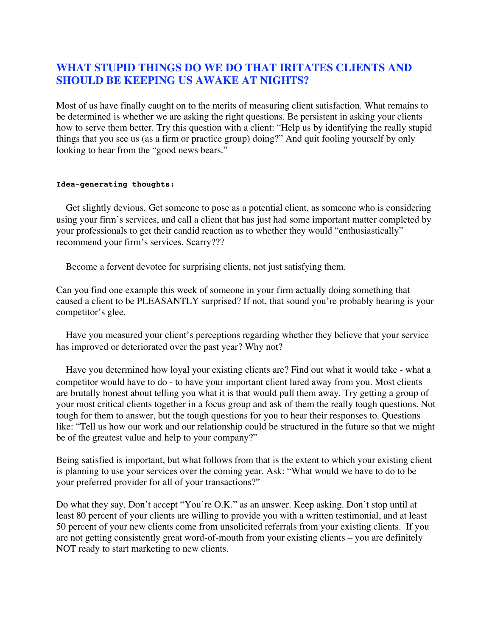# **WHAT STUPID THINGS DO WE DO THAT IRITATES CLIENTS AND SHOULD BE KEEPING US AWAKE AT NIGHTS?**

Most of us have finally caught on to the merits of measuring client satisfaction. What remains to be determined is whether we are asking the right questions. Be persistent in asking your clients how to serve them better. Try this question with a client: "Help us by identifying the really stupid things that you see us (as a firm or practice group) doing?" And quit fooling yourself by only looking to hear from the "good news bears."

#### **Idea-generating thoughts:**

 Get slightly devious. Get someone to pose as a potential client, as someone who is considering using your firm's services, and call a client that has just had some important matter completed by your professionals to get their candid reaction as to whether they would "enthusiastically" recommend your firm's services. Scarry???

Become a fervent devotee for surprising clients, not just satisfying them.

Can you find one example this week of someone in your firm actually doing something that caused a client to be PLEASANTLY surprised? If not, that sound you're probably hearing is your competitor's glee.

 Have you measured your client's perceptions regarding whether they believe that your service has improved or deteriorated over the past year? Why not?

 Have you determined how loyal your existing clients are? Find out what it would take - what a competitor would have to do - to have your important client lured away from you. Most clients are brutally honest about telling you what it is that would pull them away. Try getting a group of your most critical clients together in a focus group and ask of them the really tough questions. Not tough for them to answer, but the tough questions for you to hear their responses to. Questions like: "Tell us how our work and our relationship could be structured in the future so that we might be of the greatest value and help to your company?"

Being satisfied is important, but what follows from that is the extent to which your existing client is planning to use your services over the coming year. Ask: "What would we have to do to be your preferred provider for all of your transactions?"

Do what they say. Don't accept "You're O.K." as an answer. Keep asking. Don't stop until at least 80 percent of your clients are willing to provide you with a written testimonial, and at least 50 percent of your new clients come from unsolicited referrals from your existing clients. If you are not getting consistently great word-of-mouth from your existing clients – you are definitely NOT ready to start marketing to new clients.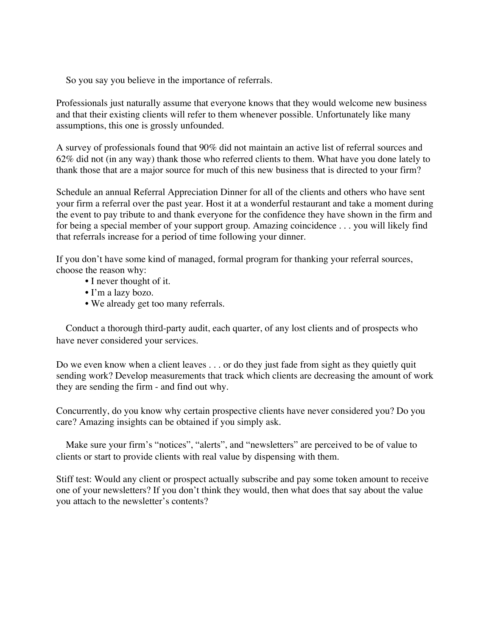So you say you believe in the importance of referrals.

Professionals just naturally assume that everyone knows that they would welcome new business and that their existing clients will refer to them whenever possible. Unfortunately like many assumptions, this one is grossly unfounded.

A survey of professionals found that 90% did not maintain an active list of referral sources and 62% did not (in any way) thank those who referred clients to them. What have you done lately to thank those that are a major source for much of this new business that is directed to your firm?

Schedule an annual Referral Appreciation Dinner for all of the clients and others who have sent your firm a referral over the past year. Host it at a wonderful restaurant and take a moment during the event to pay tribute to and thank everyone for the confidence they have shown in the firm and for being a special member of your support group. Amazing coincidence . . . you will likely find that referrals increase for a period of time following your dinner.

If you don't have some kind of managed, formal program for thanking your referral sources, choose the reason why:

- I never thought of it.
- I'm a lazy bozo.
- We already get too many referrals.

 Conduct a thorough third-party audit, each quarter, of any lost clients and of prospects who have never considered your services.

Do we even know when a client leaves . . . or do they just fade from sight as they quietly quit sending work? Develop measurements that track which clients are decreasing the amount of work they are sending the firm - and find out why.

Concurrently, do you know why certain prospective clients have never considered you? Do you care? Amazing insights can be obtained if you simply ask.

 Make sure your firm's "notices", "alerts", and "newsletters" are perceived to be of value to clients or start to provide clients with real value by dispensing with them.

Stiff test: Would any client or prospect actually subscribe and pay some token amount to receive one of your newsletters? If you don't think they would, then what does that say about the value you attach to the newsletter's contents?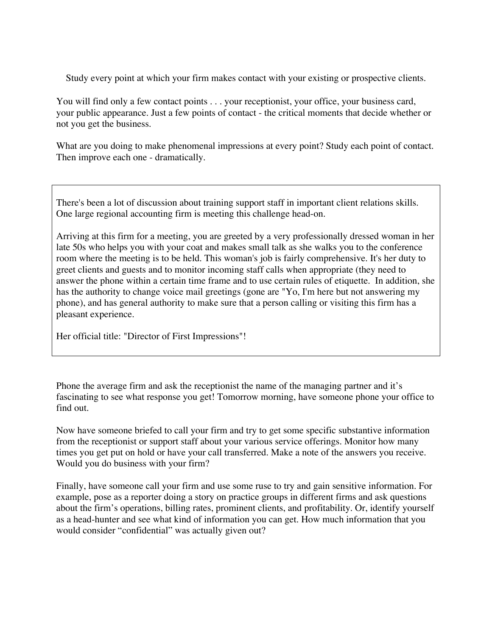Study every point at which your firm makes contact with your existing or prospective clients.

You will find only a few contact points . . . your receptionist, your office, your business card, your public appearance. Just a few points of contact - the critical moments that decide whether or not you get the business.

What are you doing to make phenomenal impressions at every point? Study each point of contact. Then improve each one - dramatically.

There's been a lot of discussion about training support staff in important client relations skills. One large regional accounting firm is meeting this challenge head-on.

Arriving at this firm for a meeting, you are greeted by a very professionally dressed woman in her late 50s who helps you with your coat and makes small talk as she walks you to the conference room where the meeting is to be held. This woman's job is fairly comprehensive. It's her duty to greet clients and guests and to monitor incoming staff calls when appropriate (they need to answer the phone within a certain time frame and to use certain rules of etiquette. In addition, she has the authority to change voice mail greetings (gone are "Yo, I'm here but not answering my phone), and has general authority to make sure that a person calling or visiting this firm has a pleasant experience.

Her official title: "Director of First Impressions"!

Phone the average firm and ask the receptionist the name of the managing partner and it's fascinating to see what response you get! Tomorrow morning, have someone phone your office to find out.

Now have someone briefed to call your firm and try to get some specific substantive information from the receptionist or support staff about your various service offerings. Monitor how many times you get put on hold or have your call transferred. Make a note of the answers you receive. Would you do business with your firm?

Finally, have someone call your firm and use some ruse to try and gain sensitive information. For example, pose as a reporter doing a story on practice groups in different firms and ask questions about the firm's operations, billing rates, prominent clients, and profitability. Or, identify yourself as a head-hunter and see what kind of information you can get. How much information that you would consider "confidential" was actually given out?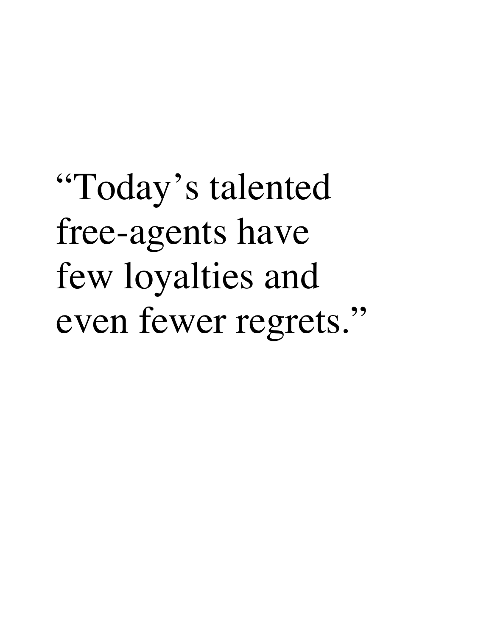"Today's talented free-agents have few loyalties and even fewer regrets."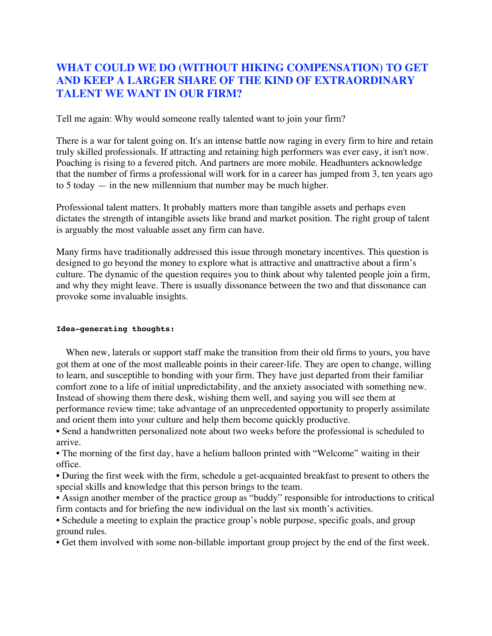## **WHAT COULD WE DO (WITHOUT HIKING COMPENSATION) TO GET AND KEEP A LARGER SHARE OF THE KIND OF EXTRAORDINARY TALENT WE WANT IN OUR FIRM?**

Tell me again: Why would someone really talented want to join your firm?

There is a war for talent going on. It's an intense battle now raging in every firm to hire and retain truly skilled professionals. If attracting and retaining high performers was ever easy, it isn't now. Poaching is rising to a fevered pitch. And partners are more mobile. Headhunters acknowledge that the number of firms a professional will work for in a career has jumped from 3, ten years ago to 5 today — in the new millennium that number may be much higher.

Professional talent matters. It probably matters more than tangible assets and perhaps even dictates the strength of intangible assets like brand and market position. The right group of talent is arguably the most valuable asset any firm can have.

Many firms have traditionally addressed this issue through monetary incentives. This question is designed to go beyond the money to explore what is attractive and unattractive about a firm's culture. The dynamic of the question requires you to think about why talented people join a firm, and why they might leave. There is usually dissonance between the two and that dissonance can provoke some invaluable insights.

### **Idea-generating thoughts:**

 When new, laterals or support staff make the transition from their old firms to yours, you have got them at one of the most malleable points in their career-life. They are open to change, willing to learn, and susceptible to bonding with your firm. They have just departed from their familiar comfort zone to a life of initial unpredictability, and the anxiety associated with something new. Instead of showing them there desk, wishing them well, and saying you will see them at performance review time; take advantage of an unprecedented opportunity to properly assimilate and orient them into your culture and help them become quickly productive.

• Send a handwritten personalized note about two weeks before the professional is scheduled to arrive.

• The morning of the first day, have a helium balloon printed with "Welcome" waiting in their office.

• During the first week with the firm, schedule a get-acquainted breakfast to present to others the special skills and knowledge that this person brings to the team.

• Assign another member of the practice group as "buddy" responsible for introductions to critical firm contacts and for briefing the new individual on the last six month's activities.

• Schedule a meeting to explain the practice group's noble purpose, specific goals, and group ground rules.

• Get them involved with some non-billable important group project by the end of the first week.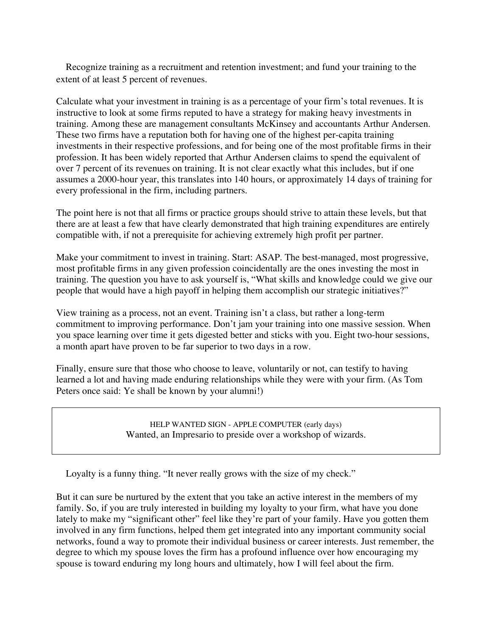Recognize training as a recruitment and retention investment; and fund your training to the extent of at least 5 percent of revenues.

Calculate what your investment in training is as a percentage of your firm's total revenues. It is instructive to look at some firms reputed to have a strategy for making heavy investments in training. Among these are management consultants McKinsey and accountants Arthur Andersen. These two firms have a reputation both for having one of the highest per-capita training investments in their respective professions, and for being one of the most profitable firms in their profession. It has been widely reported that Arthur Andersen claims to spend the equivalent of over 7 percent of its revenues on training. It is not clear exactly what this includes, but if one assumes a 2000-hour year, this translates into 140 hours, or approximately 14 days of training for every professional in the firm, including partners.

The point here is not that all firms or practice groups should strive to attain these levels, but that there are at least a few that have clearly demonstrated that high training expenditures are entirely compatible with, if not a prerequisite for achieving extremely high profit per partner.

Make your commitment to invest in training. Start: ASAP. The best-managed, most progressive, most profitable firms in any given profession coincidentally are the ones investing the most in training. The question you have to ask yourself is, "What skills and knowledge could we give our people that would have a high payoff in helping them accomplish our strategic initiatives?"

View training as a process, not an event. Training isn't a class, but rather a long-term commitment to improving performance. Don't jam your training into one massive session. When you space learning over time it gets digested better and sticks with you. Eight two-hour sessions, a month apart have proven to be far superior to two days in a row.

Finally, ensure sure that those who choose to leave, voluntarily or not, can testify to having learned a lot and having made enduring relationships while they were with your firm. (As Tom Peters once said: Ye shall be known by your alumni!)

> HELP WANTED SIGN - APPLE COMPUTER (early days) Wanted, an Impresario to preside over a workshop of wizards.

Loyalty is a funny thing. "It never really grows with the size of my check."

But it can sure be nurtured by the extent that you take an active interest in the members of my family. So, if you are truly interested in building my loyalty to your firm, what have you done lately to make my "significant other" feel like they're part of your family. Have you gotten them involved in any firm functions, helped them get integrated into any important community social networks, found a way to promote their individual business or career interests. Just remember, the degree to which my spouse loves the firm has a profound influence over how encouraging my spouse is toward enduring my long hours and ultimately, how I will feel about the firm.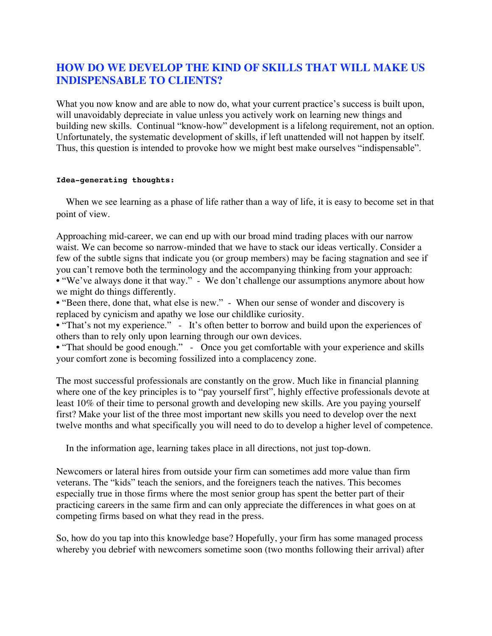# **HOW DO WE DEVELOP THE KIND OF SKILLS THAT WILL MAKE US INDISPENSABLE TO CLIENTS?**

What you now know and are able to now do, what your current practice's success is built upon, will unavoidably depreciate in value unless you actively work on learning new things and building new skills. Continual "know-how" development is a lifelong requirement, not an option. Unfortunately, the systematic development of skills, if left unattended will not happen by itself. Thus, this question is intended to provoke how we might best make ourselves "indispensable".

#### **Idea-generating thoughts:**

 When we see learning as a phase of life rather than a way of life, it is easy to become set in that point of view.

Approaching mid-career, we can end up with our broad mind trading places with our narrow waist. We can become so narrow-minded that we have to stack our ideas vertically. Consider a few of the subtle signs that indicate you (or group members) may be facing stagnation and see if you can't remove both the terminology and the accompanying thinking from your approach: • "We've always done it that way." - We don't challenge our assumptions anymore about how we might do things differently.

• "Been there, done that, what else is new." - When our sense of wonder and discovery is replaced by cynicism and apathy we lose our childlike curiosity.

• "That's not my experience." - It's often better to borrow and build upon the experiences of others than to rely only upon learning through our own devices.

• "That should be good enough." - Once you get comfortable with your experience and skills your comfort zone is becoming fossilized into a complacency zone.

The most successful professionals are constantly on the grow. Much like in financial planning where one of the key principles is to "pay yourself first", highly effective professionals devote at least 10% of their time to personal growth and developing new skills. Are you paying yourself first? Make your list of the three most important new skills you need to develop over the next twelve months and what specifically you will need to do to develop a higher level of competence.

In the information age, learning takes place in all directions, not just top-down.

Newcomers or lateral hires from outside your firm can sometimes add more value than firm veterans. The "kids" teach the seniors, and the foreigners teach the natives. This becomes especially true in those firms where the most senior group has spent the better part of their practicing careers in the same firm and can only appreciate the differences in what goes on at competing firms based on what they read in the press.

So, how do you tap into this knowledge base? Hopefully, your firm has some managed process whereby you debrief with newcomers sometime soon (two months following their arrival) after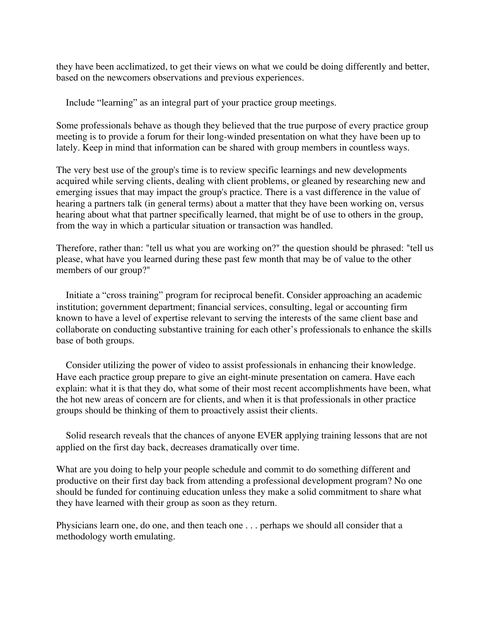they have been acclimatized, to get their views on what we could be doing differently and better, based on the newcomers observations and previous experiences.

Include "learning" as an integral part of your practice group meetings.

Some professionals behave as though they believed that the true purpose of every practice group meeting is to provide a forum for their long-winded presentation on what they have been up to lately. Keep in mind that information can be shared with group members in countless ways.

The very best use of the group's time is to review specific learnings and new developments acquired while serving clients, dealing with client problems, or gleaned by researching new and emerging issues that may impact the group's practice. There is a vast difference in the value of hearing a partners talk (in general terms) about a matter that they have been working on, versus hearing about what that partner specifically learned, that might be of use to others in the group, from the way in which a particular situation or transaction was handled.

Therefore, rather than: "tell us what you are working on?" the question should be phrased: "tell us please, what have you learned during these past few month that may be of value to the other members of our group?"

 Initiate a "cross training" program for reciprocal benefit. Consider approaching an academic institution; government department; financial services, consulting, legal or accounting firm known to have a level of expertise relevant to serving the interests of the same client base and collaborate on conducting substantive training for each other's professionals to enhance the skills base of both groups.

 Consider utilizing the power of video to assist professionals in enhancing their knowledge. Have each practice group prepare to give an eight-minute presentation on camera. Have each explain: what it is that they do, what some of their most recent accomplishments have been, what the hot new areas of concern are for clients, and when it is that professionals in other practice groups should be thinking of them to proactively assist their clients.

 Solid research reveals that the chances of anyone EVER applying training lessons that are not applied on the first day back, decreases dramatically over time.

What are you doing to help your people schedule and commit to do something different and productive on their first day back from attending a professional development program? No one should be funded for continuing education unless they make a solid commitment to share what they have learned with their group as soon as they return.

Physicians learn one, do one, and then teach one . . . perhaps we should all consider that a methodology worth emulating.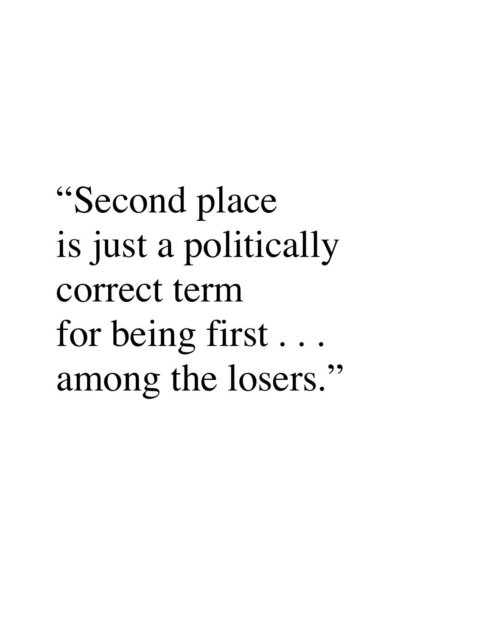"Second place is just a politically correct term for being first . . . among the losers."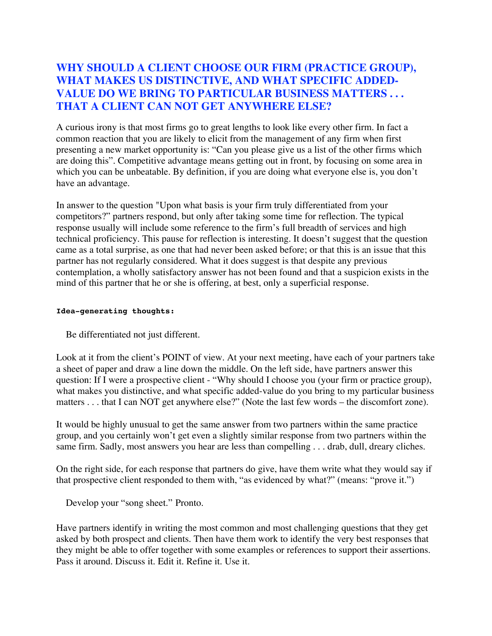# **WHY SHOULD A CLIENT CHOOSE OUR FIRM (PRACTICE GROUP), WHAT MAKES US DISTINCTIVE, AND WHAT SPECIFIC ADDED-VALUE DO WE BRING TO PARTICULAR BUSINESS MATTERS . . . THAT A CLIENT CAN NOT GET ANYWHERE ELSE?**

A curious irony is that most firms go to great lengths to look like every other firm. In fact a common reaction that you are likely to elicit from the management of any firm when first presenting a new market opportunity is: "Can you please give us a list of the other firms which are doing this". Competitive advantage means getting out in front, by focusing on some area in which you can be unbeatable. By definition, if you are doing what everyone else is, you don't have an advantage.

In answer to the question "Upon what basis is your firm truly differentiated from your competitors?" partners respond, but only after taking some time for reflection. The typical response usually will include some reference to the firm's full breadth of services and high technical proficiency. This pause for reflection is interesting. It doesn't suggest that the question came as a total surprise, as one that had never been asked before; or that this is an issue that this partner has not regularly considered. What it does suggest is that despite any previous contemplation, a wholly satisfactory answer has not been found and that a suspicion exists in the mind of this partner that he or she is offering, at best, only a superficial response.

### **Idea-generating thoughts:**

Be differentiated not just different.

Look at it from the client's POINT of view. At your next meeting, have each of your partners take a sheet of paper and draw a line down the middle. On the left side, have partners answer this question: If I were a prospective client - "Why should I choose you (your firm or practice group), what makes you distinctive, and what specific added-value do you bring to my particular business matters . . . that I can NOT get anywhere else?" (Note the last few words – the discomfort zone).

It would be highly unusual to get the same answer from two partners within the same practice group, and you certainly won't get even a slightly similar response from two partners within the same firm. Sadly, most answers you hear are less than compelling . . . drab, dull, dreary cliches.

On the right side, for each response that partners do give, have them write what they would say if that prospective client responded to them with, "as evidenced by what?" (means: "prove it.")

Develop your "song sheet." Pronto.

Have partners identify in writing the most common and most challenging questions that they get asked by both prospect and clients. Then have them work to identify the very best responses that they might be able to offer together with some examples or references to support their assertions. Pass it around. Discuss it. Edit it. Refine it. Use it.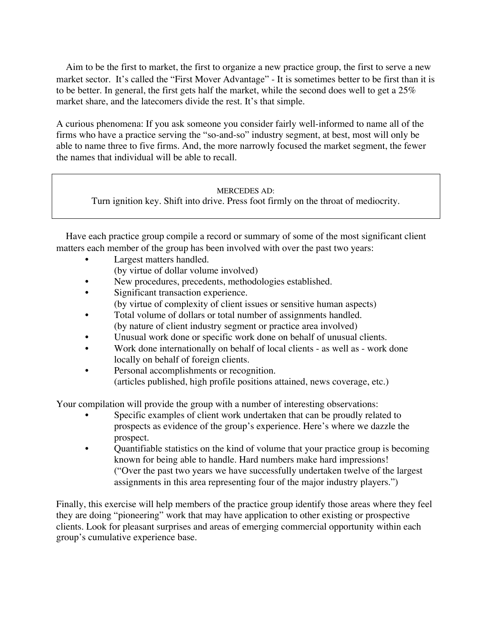Aim to be the first to market, the first to organize a new practice group, the first to serve a new market sector. It's called the "First Mover Advantage" - It is sometimes better to be first than it is to be better. In general, the first gets half the market, while the second does well to get a 25% market share, and the latecomers divide the rest. It's that simple.

A curious phenomena: If you ask someone you consider fairly well-informed to name all of the firms who have a practice serving the "so-and-so" industry segment, at best, most will only be able to name three to five firms. And, the more narrowly focused the market segment, the fewer the names that individual will be able to recall.

### MERCEDES AD:

Turn ignition key. Shift into drive. Press foot firmly on the throat of mediocrity.

 Have each practice group compile a record or summary of some of the most significant client matters each member of the group has been involved with over the past two years:

- Largest matters handled. (by virtue of dollar volume involved)
- New procedures, precedents, methodologies established.
- Significant transaction experience.
	- (by virtue of complexity of client issues or sensitive human aspects)
- Total volume of dollars or total number of assignments handled. (by nature of client industry segment or practice area involved)
- Unusual work done or specific work done on behalf of unusual clients.
- Work done internationally on behalf of local clients as well as work done locally on behalf of foreign clients.
- Personal accomplishments or recognition. (articles published, high profile positions attained, news coverage, etc.)

Your compilation will provide the group with a number of interesting observations:

- Specific examples of client work undertaken that can be proudly related to prospects as evidence of the group's experience. Here's where we dazzle the prospect.
- Quantifiable statistics on the kind of volume that your practice group is becoming known for being able to handle. Hard numbers make hard impressions! ("Over the past two years we have successfully undertaken twelve of the largest assignments in this area representing four of the major industry players.")

Finally, this exercise will help members of the practice group identify those areas where they feel they are doing "pioneering" work that may have application to other existing or prospective clients. Look for pleasant surprises and areas of emerging commercial opportunity within each group's cumulative experience base.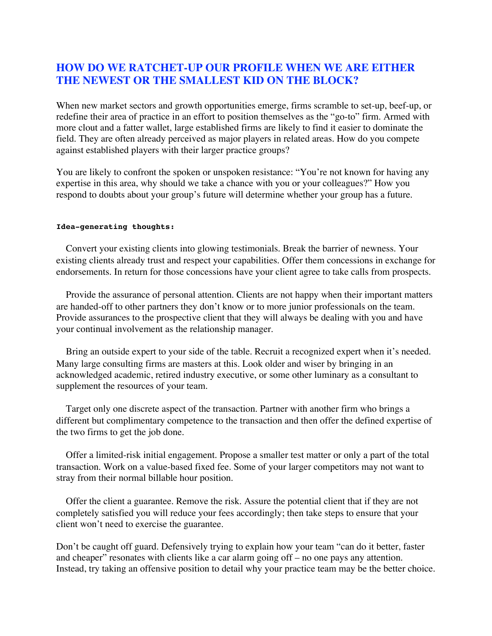## **HOW DO WE RATCHET-UP OUR PROFILE WHEN WE ARE EITHER THE NEWEST OR THE SMALLEST KID ON THE BLOCK?**

When new market sectors and growth opportunities emerge, firms scramble to set-up, beef-up, or redefine their area of practice in an effort to position themselves as the "go-to" firm. Armed with more clout and a fatter wallet, large established firms are likely to find it easier to dominate the field. They are often already perceived as major players in related areas. How do you compete against established players with their larger practice groups?

You are likely to confront the spoken or unspoken resistance: "You're not known for having any expertise in this area, why should we take a chance with you or your colleagues?" How you respond to doubts about your group's future will determine whether your group has a future.

#### **Idea-generating thoughts:**

 Convert your existing clients into glowing testimonials. Break the barrier of newness. Your existing clients already trust and respect your capabilities. Offer them concessions in exchange for endorsements. In return for those concessions have your client agree to take calls from prospects.

 Provide the assurance of personal attention. Clients are not happy when their important matters are handed-off to other partners they don't know or to more junior professionals on the team. Provide assurances to the prospective client that they will always be dealing with you and have your continual involvement as the relationship manager.

 Bring an outside expert to your side of the table. Recruit a recognized expert when it's needed. Many large consulting firms are masters at this. Look older and wiser by bringing in an acknowledged academic, retired industry executive, or some other luminary as a consultant to supplement the resources of your team.

 Target only one discrete aspect of the transaction. Partner with another firm who brings a different but complimentary competence to the transaction and then offer the defined expertise of the two firms to get the job done.

 Offer a limited-risk initial engagement. Propose a smaller test matter or only a part of the total transaction. Work on a value-based fixed fee. Some of your larger competitors may not want to stray from their normal billable hour position.

 Offer the client a guarantee. Remove the risk. Assure the potential client that if they are not completely satisfied you will reduce your fees accordingly; then take steps to ensure that your client won't need to exercise the guarantee.

Don't be caught off guard. Defensively trying to explain how your team "can do it better, faster and cheaper" resonates with clients like a car alarm going off – no one pays any attention. Instead, try taking an offensive position to detail why your practice team may be the better choice.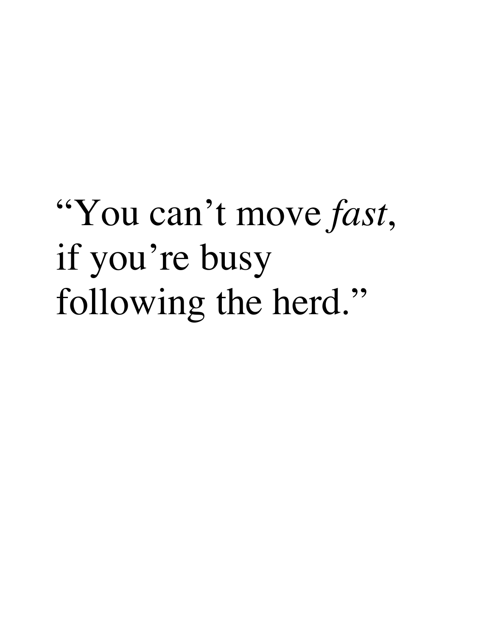# "You can't move *fast*, if you're busy following the herd."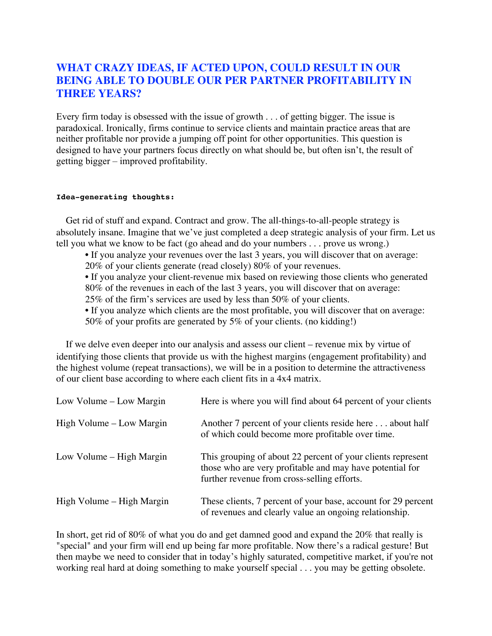### **WHAT CRAZY IDEAS, IF ACTED UPON, COULD RESULT IN OUR BEING ABLE TO DOUBLE OUR PER PARTNER PROFITABILITY IN THREE YEARS?**

Every firm today is obsessed with the issue of growth . . . of getting bigger. The issue is paradoxical. Ironically, firms continue to service clients and maintain practice areas that are neither profitable nor provide a jumping off point for other opportunities. This question is designed to have your partners focus directly on what should be, but often isn't, the result of getting bigger – improved profitability.

### **Idea-generating thoughts:**

 Get rid of stuff and expand. Contract and grow. The all-things-to-all-people strategy is absolutely insane. Imagine that we've just completed a deep strategic analysis of your firm. Let us tell you what we know to be fact (go ahead and do your numbers . . . prove us wrong.)

• If you analyze your revenues over the last 3 years, you will discover that on average:

20% of your clients generate (read closely) 80% of your revenues.

• If you analyze your client-revenue mix based on reviewing those clients who generated 80% of the revenues in each of the last 3 years, you will discover that on average: 25% of the firm's services are used by less than 50% of your clients.

• If you analyze which clients are the most profitable, you will discover that on average: 50% of your profits are generated by 5% of your clients. (no kidding!)

 If we delve even deeper into our analysis and assess our client – revenue mix by virtue of identifying those clients that provide us with the highest margins (engagement profitability) and the highest volume (repeat transactions), we will be in a position to determine the attractiveness of our client base according to where each client fits in a 4x4 matrix.

| Low Volume – Low Margin   | Here is where you will find about 64 percent of your clients                                                                                                           |
|---------------------------|------------------------------------------------------------------------------------------------------------------------------------------------------------------------|
| High Volume – Low Margin  | Another 7 percent of your clients reside here about half<br>of which could become more profitable over time.                                                           |
| Low Volume – High Margin  | This grouping of about 22 percent of your clients represent<br>those who are very profitable and may have potential for<br>further revenue from cross-selling efforts. |
| High Volume – High Margin | These clients, 7 percent of your base, account for 29 percent<br>of revenues and clearly value an ongoing relationship.                                                |

In short, get rid of 80% of what you do and get damned good and expand the 20% that really is "special" and your firm will end up being far more profitable. Now there's a radical gesture! But then maybe we need to consider that in today's highly saturated, competitive market, if you're not working real hard at doing something to make yourself special . . . you may be getting obsolete.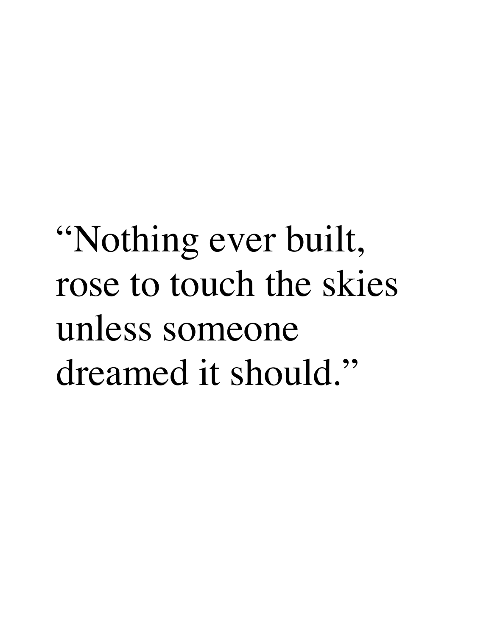# "Nothing ever built, rose to touch the skies unless someone dreamed it should."